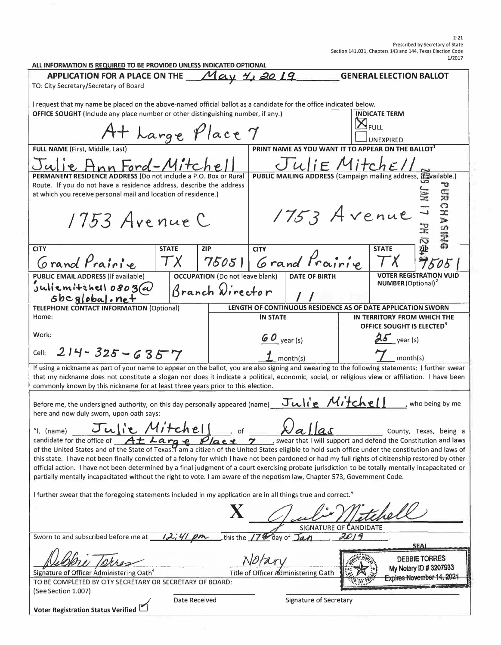| ALL INFORMATION IS REQUIRED TO BE PROVIDED UNLESS INDICATED OPTIONAL                                                                                                 |                            |                                        |                                                                |                                                                |          |                                       |                                |
|----------------------------------------------------------------------------------------------------------------------------------------------------------------------|----------------------------|----------------------------------------|----------------------------------------------------------------|----------------------------------------------------------------|----------|---------------------------------------|--------------------------------|
| APPLICATION FOR A PLACE ON THE $May \ H$ , 20                                                                                                                        |                            |                                        |                                                                |                                                                |          | <b>GENERAL ELECTION BALLOT</b>        |                                |
| TO: City Secretary/Secretary of Board                                                                                                                                |                            |                                        |                                                                |                                                                |          |                                       |                                |
| I request that my name be placed on the above-named official ballot as a candidate for the office indicated below.                                                   |                            |                                        |                                                                |                                                                |          |                                       |                                |
| OFFICE SOUGHT (Include any place number or other distinguishing number, if any.)                                                                                     |                            |                                        |                                                                |                                                                |          | <b>INDICATE TERM</b>                  |                                |
|                                                                                                                                                                      |                            |                                        |                                                                |                                                                |          | $\mathbf{X}_{\texttt{full}}$          |                                |
| At Large Place 7                                                                                                                                                     |                            |                                        |                                                                |                                                                |          |                                       |                                |
|                                                                                                                                                                      |                            |                                        |                                                                |                                                                |          | UNEXPIRED                             |                                |
| FULL NAME (First, Middle, Last)                                                                                                                                      |                            |                                        |                                                                | PRINT NAME AS YOU WANT IT TO APPEAR ON THE BALLOT <sup>1</sup> |          |                                       |                                |
| Ann Ford-Mitchel                                                                                                                                                     |                            |                                        | Julie Mitchell                                                 |                                                                |          |                                       |                                |
| PERMANENT RESIDENCE ADDRESS (Do not include a P.O. Box or Rural                                                                                                      |                            |                                        | PUBLIC MAILING ADDRESS (Campaign mailing address, Eavailable.) |                                                                |          |                                       |                                |
| Route. If you do not have a residence address, describe the address                                                                                                  |                            |                                        |                                                                |                                                                |          |                                       |                                |
| at which you receive personal mail and location of residence.)                                                                                                       |                            |                                        |                                                                |                                                                |          |                                       |                                |
|                                                                                                                                                                      |                            |                                        |                                                                |                                                                |          |                                       |                                |
| 1753 Avenue C                                                                                                                                                        |                            |                                        |                                                                |                                                                |          |                                       |                                |
|                                                                                                                                                                      |                            |                                        | 1753 Avenue                                                    |                                                                |          |                                       |                                |
|                                                                                                                                                                      |                            |                                        |                                                                |                                                                |          |                                       | URCHASEN                       |
|                                                                                                                                                                      |                            |                                        |                                                                |                                                                |          |                                       |                                |
| <b>CITY</b>                                                                                                                                                          | <b>STATE</b><br><b>ZIP</b> |                                        | <b>CITY</b>                                                    |                                                                |          | <b>STATE</b>                          |                                |
| Grand Prairie                                                                                                                                                        | $\tau$ x                   |                                        |                                                                | 75051 Grand Prairie                                            |          |                                       |                                |
| <b>PUBLIC EMAIL ADDRESS (If available)</b>                                                                                                                           |                            | <b>OCCUPATION</b> (Do not leave blank) |                                                                | <b>DATE OF BIRTH</b>                                           |          |                                       | <b>VOTER REGISTRATION VUID</b> |
| juliemitchell 0803@                                                                                                                                                  |                            | Branch Director                        |                                                                |                                                                |          | <b>NUMBER</b> (Optional) <sup>2</sup> |                                |
| $sbcg obsa $ . net                                                                                                                                                   |                            |                                        |                                                                |                                                                |          |                                       |                                |
| <b>TELEPHONE CONTACT INFORMATION (Optional)</b>                                                                                                                      |                            |                                        |                                                                | LENGTH OF CONTINUOUS RESIDENCE AS OF DATE APPLICATION SWORN    |          |                                       |                                |
| Home:                                                                                                                                                                |                            |                                        | <b>IN STATE</b>                                                |                                                                |          | IN TERRITORY FROM WHICH THE           |                                |
|                                                                                                                                                                      |                            |                                        |                                                                |                                                                |          | OFFICE SOUGHT IS ELECTED <sup>3</sup> |                                |
| Work:                                                                                                                                                                |                            |                                        |                                                                |                                                                |          |                                       |                                |
|                                                                                                                                                                      |                            |                                        | $60$ year (s)                                                  |                                                                |          | $25$ year (s)                         |                                |
| $214 - 325 - 6357$<br>Cell:                                                                                                                                          |                            | $\mathbf 1$ month(s)                   |                                                                |                                                                | month(s) |                                       |                                |
| If using a nickname as part of your name to appear on the ballot, you are also signing and swearing to the following statements: I further swear                     |                            |                                        |                                                                |                                                                |          |                                       |                                |
| that my nickname does not constitute a slogan nor does it indicate a political, economic, social, or religious view or affiliation. I have been                      |                            |                                        |                                                                |                                                                |          |                                       |                                |
| commonly known by this nickname for at least three years prior to this election.                                                                                     |                            |                                        |                                                                |                                                                |          |                                       |                                |
|                                                                                                                                                                      |                            |                                        |                                                                |                                                                |          |                                       |                                |
| Before me, the undersigned authority, on this day personally appeared (name)                                                                                         |                            |                                        |                                                                | Julie Mitchell                                                 |          |                                       | who being by me                |
| here and now duly sworn, upon oath says:                                                                                                                             |                            |                                        |                                                                |                                                                |          |                                       |                                |
| $\sqrt{1}$                                                                                                                                                           |                            |                                        |                                                                |                                                                |          |                                       |                                |
| Julie Mitchell of<br>$\lambda/a$ $ las$<br>"I, (name)<br>County, Texas, being a                                                                                      |                            |                                        |                                                                |                                                                |          |                                       |                                |
| candidate for the office of $A \pm \lambda a r q$ $\varphi$ $\beta/a$ $\epsilon$ $\varphi$ $\gamma$ , swear that I will support and defend the Constitution and laws |                            |                                        |                                                                |                                                                |          |                                       |                                |
| of the United States and of the State of Texas. I am a citizen of the United States eligible to hold such office under the constitution and laws of                  |                            |                                        |                                                                |                                                                |          |                                       |                                |
| this state. I have not been finally convicted of a felony for which I have not been pardoned or had my full rights of citizenship restored by other                  |                            |                                        |                                                                |                                                                |          |                                       |                                |
| official action. I have not been determined by a final judgment of a court exercising probate jurisdiction to be totally mentally incapacitated or                   |                            |                                        |                                                                |                                                                |          |                                       |                                |
| partially mentally incapacitated without the right to vote. I am aware of the nepotism law, Chapter 573, Government Code.                                            |                            |                                        |                                                                |                                                                |          |                                       |                                |
|                                                                                                                                                                      |                            |                                        |                                                                |                                                                |          |                                       |                                |
| I further swear that the foregoing statements included in my application are in all things true and correct."                                                        |                            |                                        |                                                                |                                                                |          |                                       |                                |
|                                                                                                                                                                      |                            |                                        |                                                                |                                                                |          |                                       |                                |
|                                                                                                                                                                      |                            |                                        |                                                                |                                                                |          |                                       |                                |
|                                                                                                                                                                      |                            |                                        |                                                                | <b>SIGNATURE OF CANDIDATE</b>                                  |          |                                       |                                |
|                                                                                                                                                                      |                            |                                        |                                                                |                                                                | 2019     |                                       |                                |
| Sworn to and subscribed before me at $\frac{1}{2}$ ; 41 pm<br>this the 17 day of Jan<br><b>SEAL</b>                                                                  |                            |                                        |                                                                |                                                                |          |                                       |                                |
|                                                                                                                                                                      |                            |                                        |                                                                |                                                                |          |                                       |                                |
|                                                                                                                                                                      |                            |                                        |                                                                |                                                                |          |                                       | DEBBIE TORRES                  |
| My Notary ID # 3207933<br>Signature of Officer Administering Oath <sup>4</sup><br>Title of Officer Administering Oath                                                |                            |                                        |                                                                |                                                                |          |                                       |                                |
| Expires November 14, 2021<br>TO BE COMPLETED BY CITY SECRETARY OR SECRETARY OF BOARD:                                                                                |                            |                                        |                                                                |                                                                |          |                                       |                                |
| (See Section 1.007)                                                                                                                                                  |                            |                                        |                                                                |                                                                |          |                                       |                                |
|                                                                                                                                                                      | Date Received              |                                        |                                                                | Signature of Secretary                                         |          |                                       |                                |
| Voter Registration Status Verified                                                                                                                                   |                            |                                        |                                                                |                                                                |          |                                       |                                |
|                                                                                                                                                                      |                            |                                        |                                                                |                                                                |          |                                       |                                |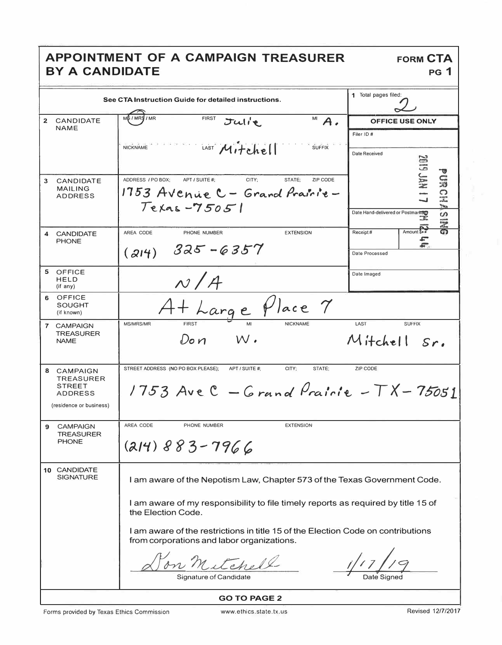## APPOINTMENT OF A CAMPAIGN TREASURER BY A CANDIDATE

|                | See CTA Instruction Guide for detailed instructions.                                                                           | 1 Total pages filed:                                                              |                                        |  |  |
|----------------|--------------------------------------------------------------------------------------------------------------------------------|-----------------------------------------------------------------------------------|----------------------------------------|--|--|
| $\overline{2}$ | CANDIDATE                                                                                                                      | <b>FIRST</b><br>/ MR<br>MB/MRS                                                    |                                        |  |  |
|                | <b>NAME</b>                                                                                                                    | $M$ $A$ .<br>Julie.                                                               | <b>OFFICE USE ONLY</b>                 |  |  |
|                |                                                                                                                                |                                                                                   | Filer ID#                              |  |  |
|                |                                                                                                                                | Mitchel<br><b>NICKNAME</b><br><b>SUFFIX</b>                                       | <b>Date Received</b>                   |  |  |
|                |                                                                                                                                |                                                                                   | <b>GID</b>                             |  |  |
|                |                                                                                                                                |                                                                                   |                                        |  |  |
| 3              | CANDIDATE                                                                                                                      | ADDRESS / PO BOX;<br>APT / SUITE #;<br>CITY:<br>STATE:<br>ZIP CODE                | <b>POSSOR</b>                          |  |  |
|                | <b>MAILING</b><br><b>ADDRESS</b>                                                                                               | 1753 Avenue C - Grand Prairie-                                                    |                                        |  |  |
|                |                                                                                                                                | $Tekas - 75051$                                                                   | <b>PORT</b>                            |  |  |
|                |                                                                                                                                |                                                                                   | Date Hand-delivered or Postmarked<br>S |  |  |
| $\overline{4}$ | <b>CANDIDATE</b>                                                                                                               | AREA CODE<br>PHONE NUMBER<br><b>EXTENSION</b>                                     | 515<br>Amount Sec<br>Receipt#          |  |  |
|                | <b>PHONE</b>                                                                                                                   |                                                                                   | th <sub>t</sub>                        |  |  |
|                |                                                                                                                                | 325 - 6357<br>(214)                                                               | Date Processed                         |  |  |
|                |                                                                                                                                |                                                                                   |                                        |  |  |
| 5              | <b>OFFICE</b><br><b>HELD</b>                                                                                                   |                                                                                   | Date Imaged                            |  |  |
|                | (if any)                                                                                                                       | N/A                                                                               |                                        |  |  |
| 6              | OFFICE<br><b>SOUGHT</b>                                                                                                        |                                                                                   |                                        |  |  |
|                | (if known)                                                                                                                     | At Large Place 7                                                                  |                                        |  |  |
|                | 7 CAMPAIGN                                                                                                                     | <b>FIRST</b><br><b>MS/MRS/MR</b><br><b>NICKNAME</b>                               | LAST<br><b>SUFFIX</b>                  |  |  |
|                | <b>TREASURER</b>                                                                                                               | $W$ .<br>Do n                                                                     | Mitchell Sr.                           |  |  |
|                | <b>NAME</b>                                                                                                                    |                                                                                   |                                        |  |  |
|                |                                                                                                                                |                                                                                   |                                        |  |  |
|                | 8 CAMPAIGN                                                                                                                     | STREET ADDRESS (NO PO BOX PLEASE);<br>APT / SUITE #:<br>CITY;<br>STATE:           | ZIP CODE                               |  |  |
|                | TREASURER<br><b>STREET</b>                                                                                                     |                                                                                   |                                        |  |  |
|                | <b>ADDRESS</b>                                                                                                                 | 1753 Ave $C$ - Grand Prairie - $TX - 75051$                                       |                                        |  |  |
|                | (residence or business)                                                                                                        |                                                                                   |                                        |  |  |
|                |                                                                                                                                |                                                                                   |                                        |  |  |
| 9              | <b>CAMPAIGN</b><br><b>TREASURER</b>                                                                                            | AREA CODE<br>PHONE NUMBER<br><b>EXTENSION</b>                                     |                                        |  |  |
|                | <b>PHONE</b>                                                                                                                   | $(214)883 - 7966$                                                                 |                                        |  |  |
|                |                                                                                                                                |                                                                                   |                                        |  |  |
|                | 10 CANDIDATE                                                                                                                   |                                                                                   |                                        |  |  |
|                | <b>SIGNATURE</b>                                                                                                               | I am aware of the Nepotism Law, Chapter 573 of the Texas Government Code.         |                                        |  |  |
|                |                                                                                                                                |                                                                                   |                                        |  |  |
|                |                                                                                                                                | I am aware of my responsibility to file timely reports as required by title 15 of |                                        |  |  |
|                |                                                                                                                                | the Election Code.                                                                |                                        |  |  |
|                |                                                                                                                                |                                                                                   |                                        |  |  |
|                | I am aware of the restrictions in title 15 of the Election Code on contributions<br>from corporations and labor organizations. |                                                                                   |                                        |  |  |
|                |                                                                                                                                |                                                                                   |                                        |  |  |
|                |                                                                                                                                | etch.                                                                             |                                        |  |  |
|                |                                                                                                                                | ianature of Candidate                                                             |                                        |  |  |
|                |                                                                                                                                |                                                                                   |                                        |  |  |
|                | <b>GO TO PAGE 2</b>                                                                                                            |                                                                                   |                                        |  |  |

Revised 12/7/2017

**FORM CTA** 

 $PG$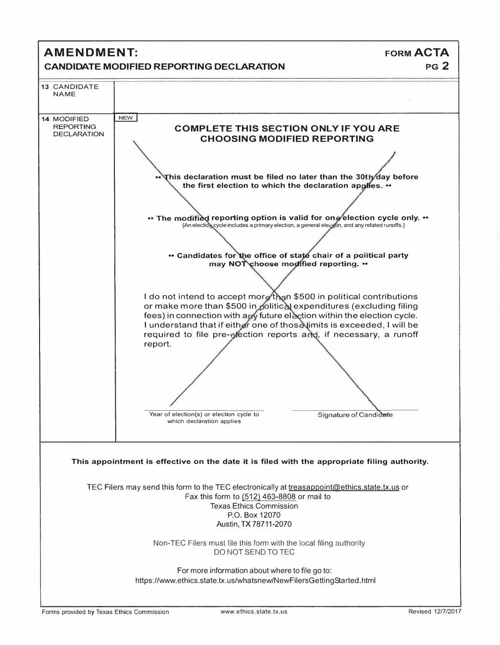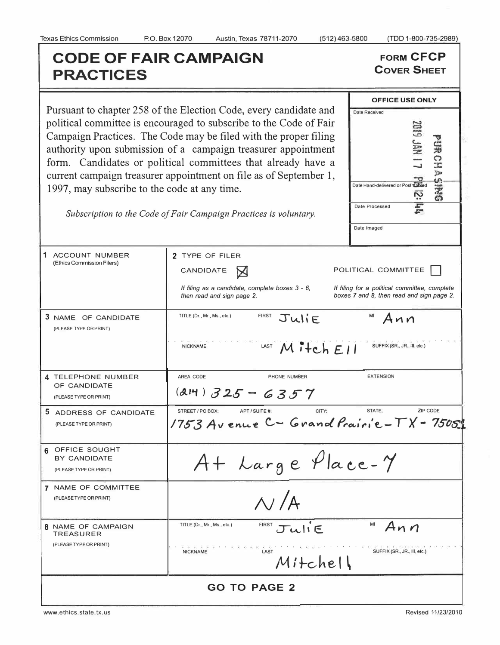## **CODE OF FAIR CAMPAIGN FORM CFCP RESPANSIVE COVER SHEET PRACTICES**

**OFFICE USE ONLY** 

Pursuant to chapter 258 of the Election Code, every candidate and political committee is encouraged to subscribe to the Code of Fair political committee is encouraged to subscribe to the Code of Fair Campaign Practices. The Code may be filed with the proper filing authority upon submission of a campaign treaty form. Candidates or political c current campaign treasurer appoint 1997, may subscribe to the code a

| 1997, may subscribe to the code at any time.  | Campaign Practices. The Code may be filed with the proper filing<br>authority upon submission of a campaign treasurer appointment<br>form. Candidates or political committees that already have a<br>current campaign treasurer appointment on file as of September 1,<br>Subscription to the Code of Fair Campaign Practices is voluntary. | <b>GRES</b><br>Date Hand-delivered or Postmatted<br>$\boldsymbol{\mathsf{N}}$<br>Date Processed<br>Date Imaged    |
|-----------------------------------------------|---------------------------------------------------------------------------------------------------------------------------------------------------------------------------------------------------------------------------------------------------------------------------------------------------------------------------------------------|-------------------------------------------------------------------------------------------------------------------|
| ACCOUNT NUMBER<br>(Ethics Commission Filers)  | 2 TYPE OF FILER<br>CANDIDATE<br>If filing as a candidate, complete boxes 3 - 6,<br>then read and sign page 2.                                                                                                                                                                                                                               | POLITICAL COMMITTEE<br>If filing for a political committee, complete<br>boxes 7 and 8, then read and sign page 2. |
| 3 NAME OF CANDIDATE<br>(PLEASE TYPE OR PRINT) | TITLE (Dr., Mr., Ms., etc.)<br><b>FIRST</b><br>JuliE<br>"我可能对我的我的的那个人可以一个人都没有过去,不是这样,我可是我的话 的复数人名 化苯甲                                                                                                                                                                                                                                       | Ann                                                                                                               |

|                                                              | ∞<br>If filing as a candidate, complete boxes 3 - 6,                                      | If filing for a political committee, complete |  |  |
|--------------------------------------------------------------|-------------------------------------------------------------------------------------------|-----------------------------------------------|--|--|
|                                                              | then read and sign page 2.                                                                | boxes 7 and 8, then read and sign page 2.     |  |  |
| 3 NAME OF CANDIDATE<br>(PLEASE TYPE OR PRINT)                | <b>FIRST</b><br>TITLE (Dr., Mr., Ms., etc.)<br>JuliF                                      | MI<br>Ann                                     |  |  |
|                                                              | LAST $M$ itch $E11$<br><b>NICKNAME</b>                                                    | SUFFIX (SR., JR., III, etc.)                  |  |  |
| 4 TELEPHONE NUMBER<br>OF CANDIDATE<br>(PLEASE TYPE OR PRINT) | AREA CODE<br>PHONE NUMBER<br>$(214)$ 325 - 6357                                           | <b>EXTENSION</b>                              |  |  |
| 5 ADDRESS OF CANDIDATE<br>(PLEASE TYPE OR PRINT)             | STREET / PO BOX:<br>CITY:<br>APT / SUITE #:<br>1753 Avenue C - Grand Prairie - TX - 75051 | ZIP CODE<br>STATE:                            |  |  |
| 6 OFFICE SOUGHT<br>BY CANDIDATE<br>(PLEASE TYPE OR PRINT)    | At Large Place-Y                                                                          |                                               |  |  |
| 7 NAME OF COMMITTEE<br>(PLEASE TYPE OR PRINT)                | $\Lambda$ / $\Lambda$                                                                     |                                               |  |  |
| 8 NAME OF CAMPAIGN<br><b>TREASURER</b>                       | $FIRST$ $Ju1$ $E$<br>TITLE (Dr., Mr., Ms., etc.)                                          | MI<br>Ann                                     |  |  |
| (PLEASE TYPE OR PRINT)                                       | LAST<br><b>NICKNAME</b><br>Mitchell                                                       | SUFFIX (SR., JR., III, etc.)                  |  |  |
| <b>GO TO PAGE 2</b>                                          |                                                                                           |                                               |  |  |

www.ethics.state.tx.us

Revised 11/23/2010